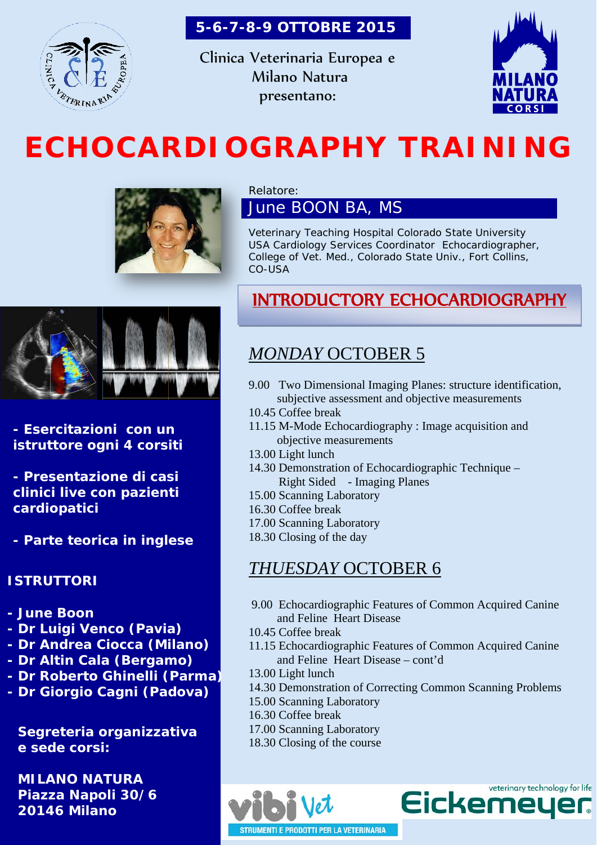

 **5-6-7-8-9 OTTOBRE 2015**

Clinica Veterinaria Europea e Milano Natura presentano:



# **ECHOCARDIOGRAPHY TRAINING**



#### Relatore:

June BOON BA, MS

Veterinary Teaching Hospital Colorado State University USA Cardiology Services Coordinator, Echocardiographer, College of Vet. Med., Colorado State Univ., Fort Collins, CO-USA



**- Esercitazioni con un istruttore ogni 4 corsiti**

**- Presentazione di casi clinici live con pazienti cardiopatici**

**- Parte teorica in inglese**

#### **ISTRUTTORI**

- **- June Boon**
- **- Dr Luigi Venco (Pavia)**
- **- Dr Andrea Ciocca (Milano)**
- **- Dr Altin Cala (Bergamo)**
- **- Dr Roberto Ghinelli (Parma)**
- **- Dr Giorgio Cagni (Padova)**

**Segreteria organizzativa e sede corsi:**

**MILANO NATURA Piazza Napoli 30/6 20146 Milano**

## INTRODUCTORY ECHOCARDIOGRAPHY

## *MONDAY* OCTOBER 5

- 9.00 Two Dimensional Imaging Planes: structure identification, subjective assessment and objective measurements
- 10.45 Coffee break
- 11.15 M-Mode Echocardiography : Image acquisition and objective measurements
- 13.00 Light lunch
- 14.30 Demonstration of Echocardiographic Technique Right Sided - Imaging Planes
- 15.00 Scanning Laboratory
- 16.30 Coffee break
- 17.00 Scanning Laboratory
- 18.30 Closing of the day

## *THUESDAY* OCTOBER 6

- 9.00 Echocardiographic Features of Common Acquired Canine and Feline Heart Disease
- 10.45 Coffee break
- 11.15 Echocardiographic Features of Common Acquired Canine and Feline Heart Disease – cont'd
- 13.00 Light lunch
- 14.30 Demonstration of Correcting Common Scanning Problems
- 15.00 Scanning Laboratory
- 16.30 Coffee break
- 17.00 Scanning Laboratory
- 18.30 Closing of the course

veterinary technology for life **Eickemey** 

**STRUMENTI E PRODOTTI PER LA VETERINARIA**